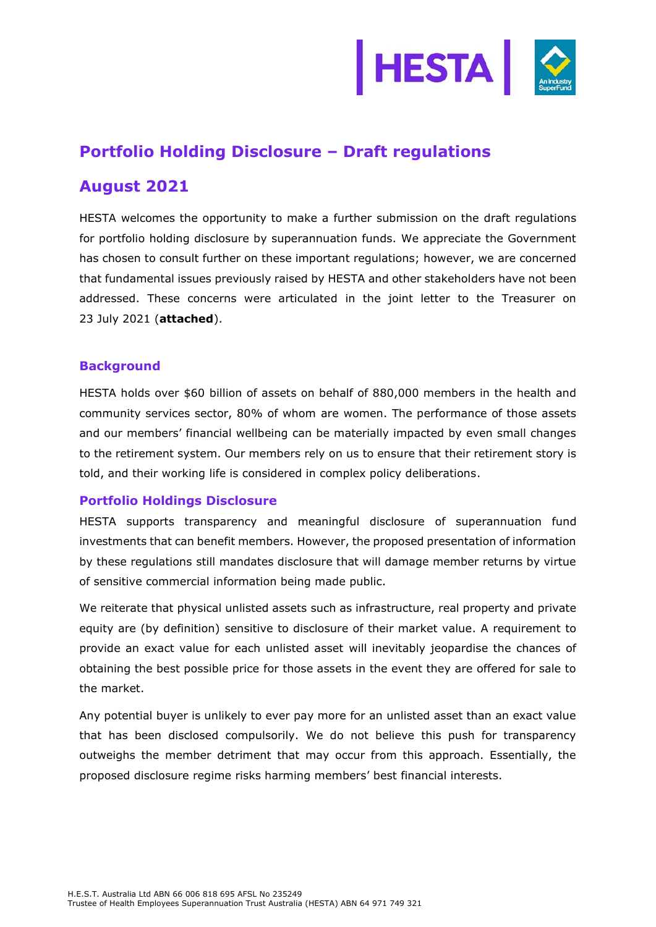

# **Portfolio Holding Disclosure – Draft regulations**

# **August 2021**

HESTA welcomes the opportunity to make a further submission on the draft regulations for portfolio holding disclosure by superannuation funds. We appreciate the Government has chosen to consult further on these important regulations; however, we are concerned that fundamental issues previously raised by HESTA and other stakeholders have not been addressed. These concerns were articulated in the joint letter to the Treasurer on 23 July 2021 (**attached**).

## **Background**

HESTA holds over \$60 billion of assets on behalf of 880,000 members in the health and community services sector, 80% of whom are women. The performance of those assets and our members' financial wellbeing can be materially impacted by even small changes to the retirement system. Our members rely on us to ensure that their retirement story is told, and their working life is considered in complex policy deliberations.

### **Portfolio Holdings Disclosure**

HESTA supports transparency and meaningful disclosure of superannuation fund investments that can benefit members. However, the proposed presentation of information by these regulations still mandates disclosure that will damage member returns by virtue of sensitive commercial information being made public.

We reiterate that physical unlisted assets such as infrastructure, real property and private equity are (by definition) sensitive to disclosure of their market value. A requirement to provide an exact value for each unlisted asset will inevitably jeopardise the chances of obtaining the best possible price for those assets in the event they are offered for sale to the market.

Any potential buyer is unlikely to ever pay more for an unlisted asset than an exact value that has been disclosed compulsorily. We do not believe this push for transparency outweighs the member detriment that may occur from this approach. Essentially, the proposed disclosure regime risks harming members' best financial interests.